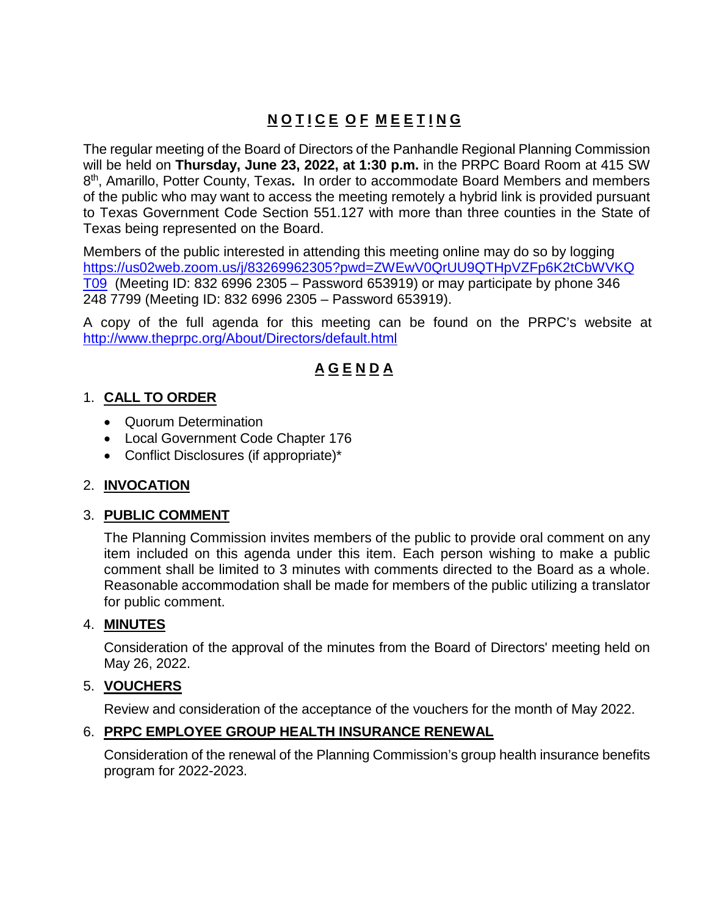# **N O T I C E O F M E E T I N G**

The regular meeting of the Board of Directors of the Panhandle Regional Planning Commission will be held on **Thursday, June 23, 2022, at 1:30 p.m.** in the PRPC Board Room at 415 SW 8th, Amarillo, Potter County, Texas**.** In order to accommodate Board Members and members of the public who may want to access the meeting remotely a hybrid link is provided pursuant to Texas Government Code Section 551.127 with more than three counties in the State of Texas being represented on the Board.

Members of the public interested in attending this meeting online may do so by logging [https://us02web.zoom.us/j/83269962305?pwd=ZWEwV0QrUU9QTHpVZFp6K2tCbWVKQ](https://us02web.zoom.us/j/83269962305?pwd=ZWEwV0QrUU9QTHpVZFp6K2tCbWVKQT09) [T09](https://us02web.zoom.us/j/83269962305?pwd=ZWEwV0QrUU9QTHpVZFp6K2tCbWVKQT09) (Meeting ID: 832 6996 2305 – Password 653919) or may participate by phone 346 248 7799 (Meeting ID: 832 6996 2305 – Password 653919).

A copy of the full agenda for this meeting can be found on the PRPC's website at <http://www.theprpc.org/About/Directors/default.html>

## **A G E N D A**

#### 1. **CALL TO ORDER**

- Quorum Determination
- Local Government Code Chapter 176
- Conflict Disclosures (if appropriate)\*

#### 2. **INVOCATION**

#### 3. **PUBLIC COMMENT**

The Planning Commission invites members of the public to provide oral comment on any item included on this agenda under this item. Each person wishing to make a public comment shall be limited to 3 minutes with comments directed to the Board as a whole. Reasonable accommodation shall be made for members of the public utilizing a translator for public comment.

#### 4. **MINUTES**

Consideration of the approval of the minutes from the Board of Directors' meeting held on May 26, 2022.

#### 5. **VOUCHERS**

Review and consideration of the acceptance of the vouchers for the month of May 2022.

#### 6. **PRPC EMPLOYEE GROUP HEALTH INSURANCE RENEWAL**

Consideration of the renewal of the Planning Commission's group health insurance benefits program for 2022-2023.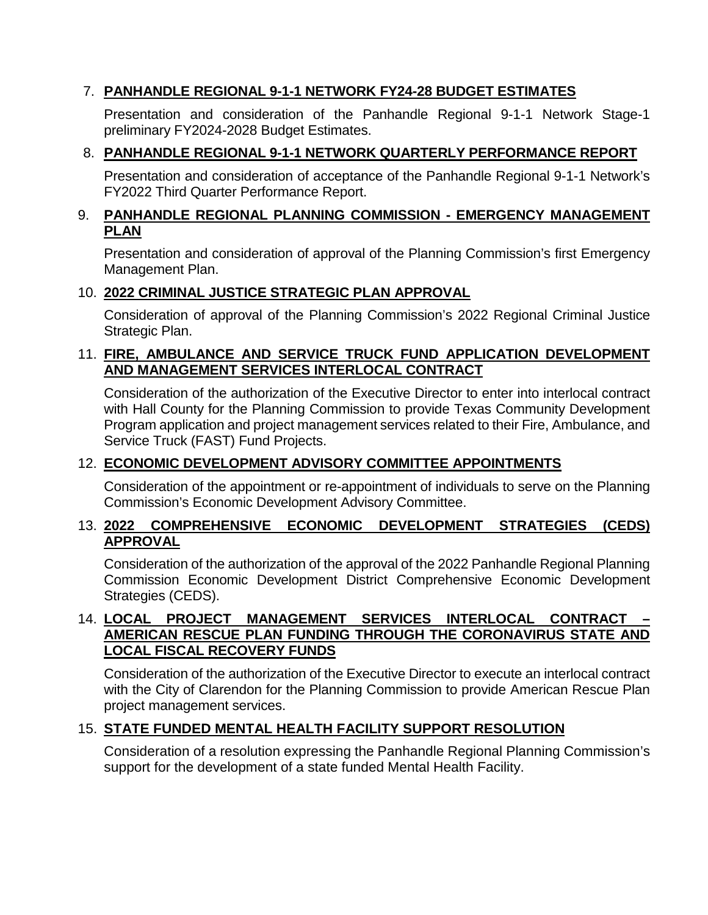### 7. **PANHANDLE REGIONAL 9-1-1 NETWORK FY24-28 BUDGET ESTIMATES**

Presentation and consideration of the Panhandle Regional 9-1-1 Network Stage-1 preliminary FY2024-2028 Budget Estimates.

### 8. **PANHANDLE REGIONAL 9-1-1 NETWORK QUARTERLY PERFORMANCE REPORT**

Presentation and consideration of acceptance of the Panhandle Regional 9-1-1 Network's FY2022 Third Quarter Performance Report.

#### 9. **PANHANDLE REGIONAL PLANNING COMMISSION - EMERGENCY MANAGEMENT PLAN**

Presentation and consideration of approval of the Planning Commission's first Emergency Management Plan.

#### 10. **2022 CRIMINAL JUSTICE STRATEGIC PLAN APPROVAL**

Consideration of approval of the Planning Commission's 2022 Regional Criminal Justice Strategic Plan.

#### 11. **FIRE, AMBULANCE AND SERVICE TRUCK FUND APPLICATION DEVELOPMENT AND MANAGEMENT SERVICES INTERLOCAL CONTRACT**

Consideration of the authorization of the Executive Director to enter into interlocal contract with Hall County for the Planning Commission to provide Texas Community Development Program application and project management services related to their Fire, Ambulance, and Service Truck (FAST) Fund Projects.

#### 12. **ECONOMIC DEVELOPMENT ADVISORY COMMITTEE APPOINTMENTS**

Consideration of the appointment or re-appointment of individuals to serve on the Planning Commission's Economic Development Advisory Committee.

#### 13. **2022 COMPREHENSIVE ECONOMIC DEVELOPMENT STRATEGIES (CEDS) APPROVAL**

Consideration of the authorization of the approval of the 2022 Panhandle Regional Planning Commission Economic Development District Comprehensive Economic Development Strategies (CEDS).

#### 14. **LOCAL PROJECT MANAGEMENT SERVICES INTERLOCAL CONTRACT – AMERICAN RESCUE PLAN FUNDING THROUGH THE CORONAVIRUS STATE AND LOCAL FISCAL RECOVERY FUNDS**

Consideration of the authorization of the Executive Director to execute an interlocal contract with the City of Clarendon for the Planning Commission to provide American Rescue Plan project management services.

#### 15. **STATE FUNDED MENTAL HEALTH FACILITY SUPPORT RESOLUTION**

Consideration of a resolution expressing the Panhandle Regional Planning Commission's support for the development of a state funded Mental Health Facility.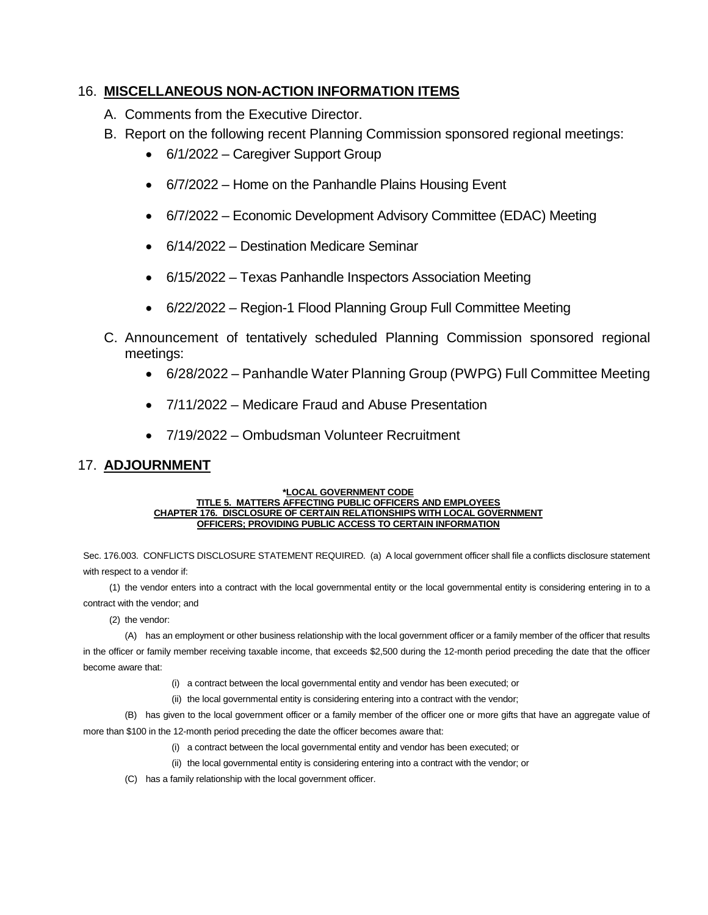#### 16. **MISCELLANEOUS NON-ACTION INFORMATION ITEMS**

- A. Comments from the Executive Director.
- B. Report on the following recent Planning Commission sponsored regional meetings:
	- 6/1/2022 Caregiver Support Group
	- 6/7/2022 Home on the Panhandle Plains Housing Event
	- 6/7/2022 Economic Development Advisory Committee (EDAC) Meeting
	- 6/14/2022 Destination Medicare Seminar
	- 6/15/2022 Texas Panhandle Inspectors Association Meeting
	- 6/22/2022 Region-1 Flood Planning Group Full Committee Meeting
- C. Announcement of tentatively scheduled Planning Commission sponsored regional meetings:
	- 6/28/2022 Panhandle Water Planning Group (PWPG) Full Committee Meeting
	- 7/11/2022 Medicare Fraud and Abuse Presentation
	- 7/19/2022 Ombudsman Volunteer Recruitment

#### 17. **ADJOURNMENT**

#### **\*LOCAL GOVERNMENT CODE TITLE 5. MATTERS AFFECTING PUBLIC OFFICERS AND EMPLOYEES CHAPTER 176. DISCLOSURE OF CERTAIN RELATIONSHIPS WITH LOCAL GOVERNMENT OFFICERS; PROVIDING PUBLIC ACCESS TO CERTAIN INFORMATION**

Sec. 176.003. CONFLICTS DISCLOSURE STATEMENT REQUIRED. (a) A local government officer shall file a conflicts disclosure statement with respect to a vendor if:

(1) the vendor enters into a contract with the local governmental entity or the local governmental entity is considering entering in to a contract with the vendor; and

(2) the vendor:

(A) has an employment or other business relationship with the local government officer or a family member of the officer that results in the officer or family member receiving taxable income, that exceeds \$2,500 during the 12-month period preceding the date that the officer become aware that:

- (i) a contract between the local governmental entity and vendor has been executed; or
- (ii) the local governmental entity is considering entering into a contract with the vendor;

(B) has given to the local government officer or a family member of the officer one or more gifts that have an aggregate value of more than \$100 in the 12-month period preceding the date the officer becomes aware that:

- (i) a contract between the local governmental entity and vendor has been executed; or
- (ii) the local governmental entity is considering entering into a contract with the vendor; or
- (C) has a family relationship with the local government officer.